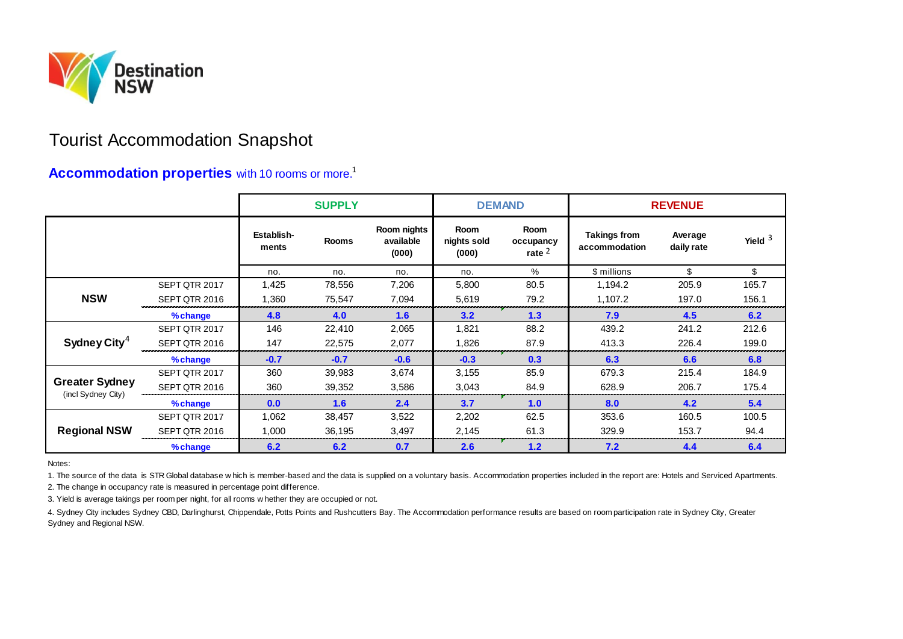

## Tourist Accommodation Snapshot

## **Accommodation properties** with 10 rooms or more.<sup>1</sup>

|                                                                                                                                                                                                                                                                                                                                                                                                                                                                                                                                                                                                                |               | <b>SUPPLY</b>       |              |                                   | <b>DEMAND</b>                       |                               | <b>REVENUE</b>                       |                       |           |
|----------------------------------------------------------------------------------------------------------------------------------------------------------------------------------------------------------------------------------------------------------------------------------------------------------------------------------------------------------------------------------------------------------------------------------------------------------------------------------------------------------------------------------------------------------------------------------------------------------------|---------------|---------------------|--------------|-----------------------------------|-------------------------------------|-------------------------------|--------------------------------------|-----------------------|-----------|
|                                                                                                                                                                                                                                                                                                                                                                                                                                                                                                                                                                                                                |               | Establish-<br>ments | <b>Rooms</b> | Room nights<br>available<br>(000) | <b>Room</b><br>nights sold<br>(000) | Room<br>occupancy<br>rate $2$ | <b>Takings from</b><br>accommodation | Average<br>daily rate | Yield $3$ |
|                                                                                                                                                                                                                                                                                                                                                                                                                                                                                                                                                                                                                |               | no.                 | no.          | no.                               | no.                                 | %                             | \$ millions                          | \$                    | \$        |
| <b>NSW</b>                                                                                                                                                                                                                                                                                                                                                                                                                                                                                                                                                                                                     | SEPT QTR 2017 | 1,425               | 78,556       | 7,206                             | 5,800                               | 80.5                          | 1,194.2                              | 205.9                 | 165.7     |
|                                                                                                                                                                                                                                                                                                                                                                                                                                                                                                                                                                                                                | SEPT QTR 2016 | 1,360               | 75,547       | 7,094                             | 5,619                               | 79.2                          | 1,107.2                              | 197.0                 | 156.1     |
|                                                                                                                                                                                                                                                                                                                                                                                                                                                                                                                                                                                                                | %change       | 4.8                 | 4.0          | 1.6                               | 3.2                                 | 1.3                           | 7.9                                  | 4.5                   | 6.2       |
| Sydney City <sup>4</sup>                                                                                                                                                                                                                                                                                                                                                                                                                                                                                                                                                                                       | SEPT QTR 2017 | 146                 | 22,410       | 2,065                             | 1,821                               | 88.2                          | 439.2                                | 241.2                 | 212.6     |
|                                                                                                                                                                                                                                                                                                                                                                                                                                                                                                                                                                                                                | SEPT QTR 2016 | 147                 | 22,575       | 2,077                             | 1,826                               | 87.9                          | 413.3                                | 226.4                 | 199.0     |
|                                                                                                                                                                                                                                                                                                                                                                                                                                                                                                                                                                                                                | %change       | $-0.7$              | $-0.7$       | $-0.6$                            | $-0.3$                              | 0.3                           | 6.3                                  | 6.6                   | 6.8       |
| <b>Greater Sydney</b><br>(incl Sydney City)                                                                                                                                                                                                                                                                                                                                                                                                                                                                                                                                                                    | SEPT QTR 2017 | 360                 | 39,983       | 3,674                             | 3,155                               | 85.9                          | 679.3                                | 215.4                 | 184.9     |
|                                                                                                                                                                                                                                                                                                                                                                                                                                                                                                                                                                                                                | SEPT QTR 2016 | 360                 | 39,352       | 3,586                             | 3,043                               | 84.9                          | 628.9                                | 206.7                 | 175.4     |
|                                                                                                                                                                                                                                                                                                                                                                                                                                                                                                                                                                                                                | %change       | 0.0                 | 1.6          | 2.4                               | 3.7                                 | 1.0                           | 8.0                                  | 4.2                   | 5.4       |
| <b>Regional NSW</b>                                                                                                                                                                                                                                                                                                                                                                                                                                                                                                                                                                                            | SEPT QTR 2017 | 1,062               | 38,457       | 3,522                             | 2,202                               | 62.5                          | 353.6                                | 160.5                 | 100.5     |
|                                                                                                                                                                                                                                                                                                                                                                                                                                                                                                                                                                                                                | SEPT QTR 2016 | 1,000               | 36,195       | 3,497                             | 2,145                               | 61.3                          | 329.9                                | 153.7                 | 94.4      |
|                                                                                                                                                                                                                                                                                                                                                                                                                                                                                                                                                                                                                | %change       | 6.2                 | 6.2          | 0.7                               | 2.6                                 | 1.2                           | 7.2                                  | 4.4                   | 6.4       |
| Notes:<br>1. The source of the data is STR Global database w hich is member-based and the data is supplied on a voluntary basis. Accommodation properties included in the report are: Hotels and Serviced Apartments.<br>2. The change in occupancy rate is measured in percentage point difference.<br>3. Yield is average takings per room per night, for all rooms whether they are occupied or not.<br>4. Sydney City includes Sydney CBD, Darlinghurst, Chippendale, Potts Points and Rushcutters Bay. The Accommodation performance results are based on room participation rate in Sydney City, Greater |               |                     |              |                                   |                                     |                               |                                      |                       |           |

Sydney and Regional NSW.